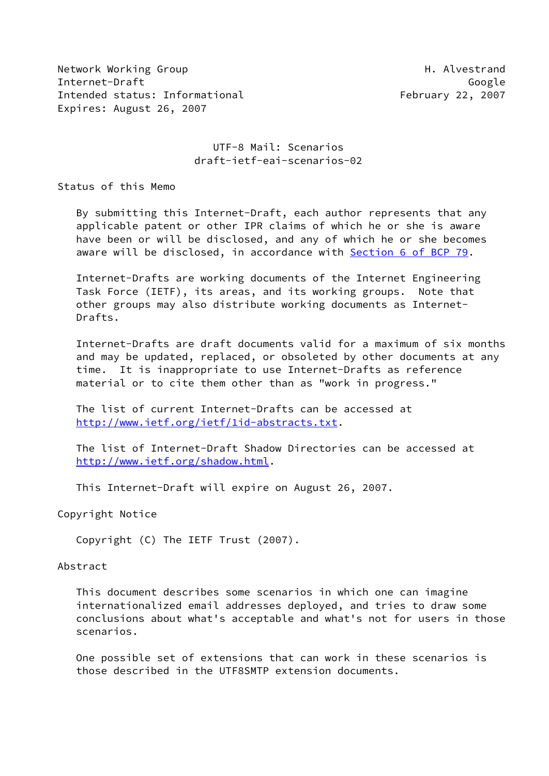Network Working Group Network Alvestrand Internet-Draft Google Intended status: Informational February 22, 2007 Expires: August 26, 2007

# UTF-8 Mail: Scenarios draft-ietf-eai-scenarios-02

Status of this Memo

 By submitting this Internet-Draft, each author represents that any applicable patent or other IPR claims of which he or she is aware have been or will be disclosed, and any of which he or she becomes aware will be disclosed, in accordance with Section [6 of BCP 79.](https://datatracker.ietf.org/doc/pdf/bcp79#section-6)

 Internet-Drafts are working documents of the Internet Engineering Task Force (IETF), its areas, and its working groups. Note that other groups may also distribute working documents as Internet- Drafts.

 Internet-Drafts are draft documents valid for a maximum of six months and may be updated, replaced, or obsoleted by other documents at any time. It is inappropriate to use Internet-Drafts as reference material or to cite them other than as "work in progress."

 The list of current Internet-Drafts can be accessed at <http://www.ietf.org/ietf/1id-abstracts.txt>.

 The list of Internet-Draft Shadow Directories can be accessed at <http://www.ietf.org/shadow.html>.

This Internet-Draft will expire on August 26, 2007.

Copyright Notice

Copyright (C) The IETF Trust (2007).

#### Abstract

 This document describes some scenarios in which one can imagine internationalized email addresses deployed, and tries to draw some conclusions about what's acceptable and what's not for users in those scenarios.

 One possible set of extensions that can work in these scenarios is those described in the UTF8SMTP extension documents.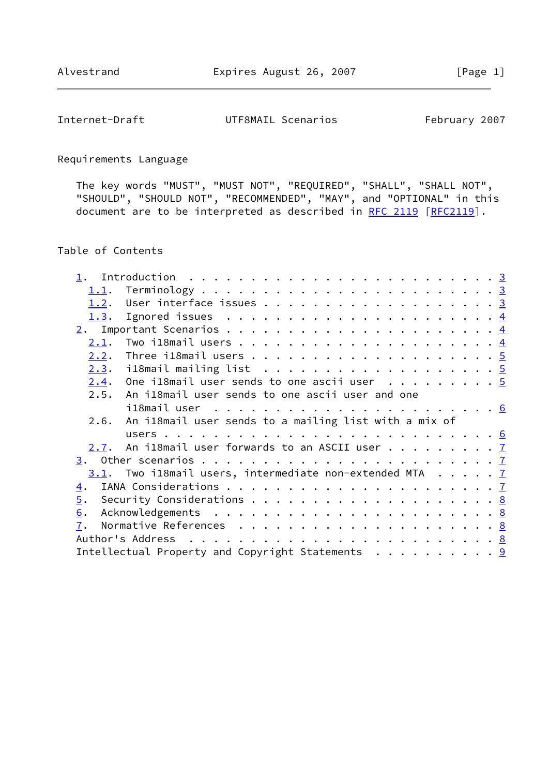Internet-Draft UTF8MAIL Scenarios February 2007

Requirements Language

 The key words "MUST", "MUST NOT", "REQUIRED", "SHALL", "SHALL NOT", "SHOULD", "SHOULD NOT", "RECOMMENDED", "MAY", and "OPTIONAL" in this document are to be interpreted as described in [RFC 2119 \[RFC2119](https://datatracker.ietf.org/doc/pdf/rfc2119)].

### Table of Contents

| 1.1.             |                                                                   |  |
|------------------|-------------------------------------------------------------------|--|
| 1.2.             |                                                                   |  |
| 1.3.             | Ignored issues $\ldots \ldots \ldots \ldots \ldots \ldots \ldots$ |  |
|                  |                                                                   |  |
| <u>2.1</u> .     |                                                                   |  |
| 2.2.             |                                                                   |  |
|                  |                                                                   |  |
|                  | $2.4$ . One il8mail user sends to one ascii user 5                |  |
|                  | 2.5. An il8mail user sends to one ascii user and one              |  |
|                  |                                                                   |  |
|                  | 2.6. An i18mail user sends to a mailing list with a mix of        |  |
|                  |                                                                   |  |
|                  | $2.7$ . An i18mail user forwards to an ASCII user $7$             |  |
|                  |                                                                   |  |
|                  |                                                                   |  |
|                  | $3.1$ . Two il8mail users, intermediate non-extended MTA $7$      |  |
| $\overline{4}$ . |                                                                   |  |
| 5.               |                                                                   |  |
| 6.               |                                                                   |  |
| 7.               |                                                                   |  |
|                  |                                                                   |  |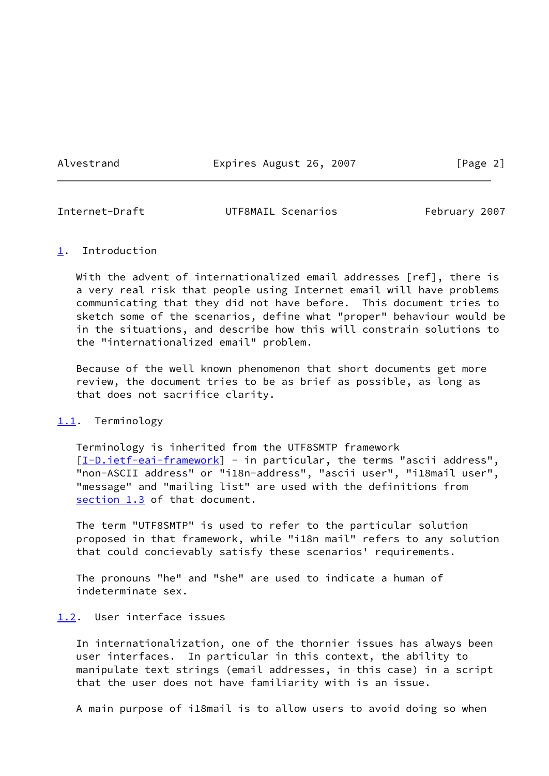Alvestrand **Expires August 26, 2007** [Page 2]

<span id="page-2-1"></span>

Internet-Draft UTF8MAIL Scenarios February 2007

#### <span id="page-2-0"></span>[1](#page-2-0). Introduction

With the advent of internationalized email addresses [ref], there is a very real risk that people using Internet email will have problems communicating that they did not have before. This document tries to sketch some of the scenarios, define what "proper" behaviour would be in the situations, and describe how this will constrain solutions to the "internationalized email" problem.

 Because of the well known phenomenon that short documents get more review, the document tries to be as brief as possible, as long as that does not sacrifice clarity.

#### <span id="page-2-2"></span>[1.1](#page-2-2). Terminology

 Terminology is inherited from the UTF8SMTP framework [\[I-D.ietf-eai-framework](#page-8-3)] - in particular, the terms "ascii address", "non-ASCII address" or "i18n-address", "ascii user", "i18mail user", "message" and "mailing list" are used with the definitions from [section 1.3](#page-3-0) of that document.

 The term "UTF8SMTP" is used to refer to the particular solution proposed in that framework, while "i18n mail" refers to any solution that could concievably satisfy these scenarios' requirements.

 The pronouns "he" and "she" are used to indicate a human of indeterminate sex.

#### <span id="page-2-3"></span>[1.2](#page-2-3). User interface issues

 In internationalization, one of the thornier issues has always been user interfaces. In particular in this context, the ability to manipulate text strings (email addresses, in this case) in a script that the user does not have familiarity with is an issue.

A main purpose of i18mail is to allow users to avoid doing so when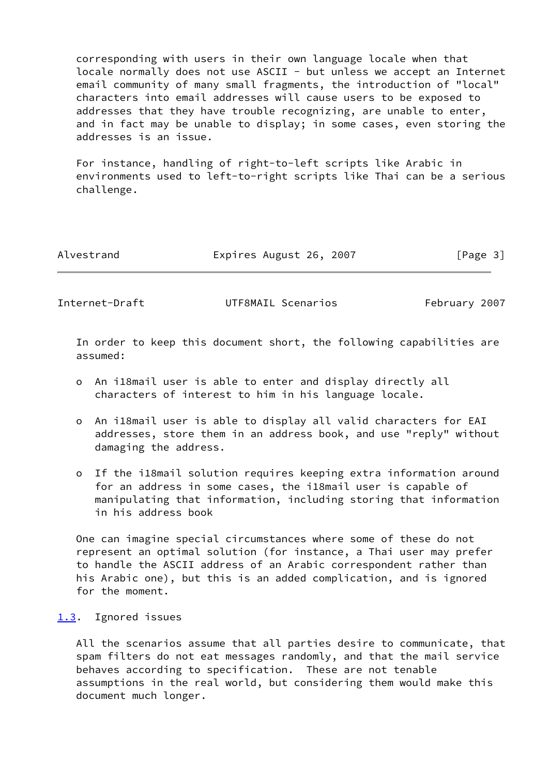corresponding with users in their own language locale when that locale normally does not use ASCII - but unless we accept an Internet email community of many small fragments, the introduction of "local" characters into email addresses will cause users to be exposed to addresses that they have trouble recognizing, are unable to enter, and in fact may be unable to display; in some cases, even storing the addresses is an issue.

 For instance, handling of right-to-left scripts like Arabic in environments used to left-to-right scripts like Thai can be a serious challenge.

| Alvestrand |  |
|------------|--|
|            |  |

Expires August 26, 2007 [Page 3]

<span id="page-3-1"></span>Internet-Draft UTF8MAIL Scenarios February 2007

 In order to keep this document short, the following capabilities are assumed:

- o An i18mail user is able to enter and display directly all characters of interest to him in his language locale.
- o An i18mail user is able to display all valid characters for EAI addresses, store them in an address book, and use "reply" without damaging the address.
- o If the i18mail solution requires keeping extra information around for an address in some cases, the i18mail user is capable of manipulating that information, including storing that information in his address book

 One can imagine special circumstances where some of these do not represent an optimal solution (for instance, a Thai user may prefer to handle the ASCII address of an Arabic correspondent rather than his Arabic one), but this is an added complication, and is ignored for the moment.

#### <span id="page-3-0"></span>[1.3](#page-3-0). Ignored issues

 All the scenarios assume that all parties desire to communicate, that spam filters do not eat messages randomly, and that the mail service behaves according to specification. These are not tenable assumptions in the real world, but considering them would make this document much longer.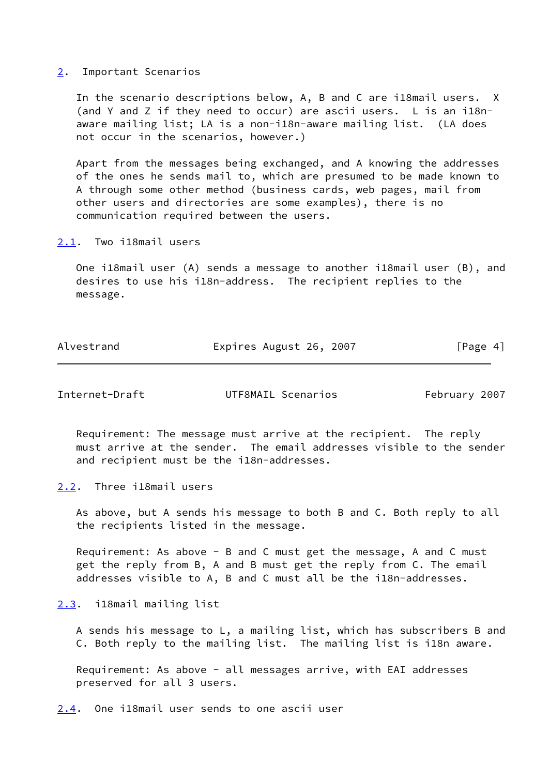#### <span id="page-4-0"></span>[2](#page-4-0). Important Scenarios

 In the scenario descriptions below, A, B and C are i18mail users. X (and Y and Z if they need to occur) are ascii users. L is an i18n aware mailing list; LA is a non-i18n-aware mailing list. (LA does not occur in the scenarios, however.)

 Apart from the messages being exchanged, and A knowing the addresses of the ones he sends mail to, which are presumed to be made known to A through some other method (business cards, web pages, mail from other users and directories are some examples), there is no communication required between the users.

<span id="page-4-1"></span>[2.1](#page-4-1). Two i18mail users

 One i18mail user (A) sends a message to another i18mail user (B), and desires to use his i18n-address. The recipient replies to the message.

| Alvestrand | Expires August 26, 2007 | [Page 4] |
|------------|-------------------------|----------|
|            |                         |          |

<span id="page-4-3"></span>Internet-Draft UTF8MAIL Scenarios February 2007

 Requirement: The message must arrive at the recipient. The reply must arrive at the sender. The email addresses visible to the sender and recipient must be the i18n-addresses.

<span id="page-4-2"></span>[2.2](#page-4-2). Three i18mail users

 As above, but A sends his message to both B and C. Both reply to all the recipients listed in the message.

 Requirement: As above - B and C must get the message, A and C must get the reply from B, A and B must get the reply from C. The email addresses visible to A, B and C must all be the i18n-addresses.

<span id="page-4-4"></span>[2.3](#page-4-4). i18mail mailing list

 A sends his message to L, a mailing list, which has subscribers B and C. Both reply to the mailing list. The mailing list is i18n aware.

 Requirement: As above - all messages arrive, with EAI addresses preserved for all 3 users.

<span id="page-4-5"></span>[2.4](#page-4-5). One i18mail user sends to one ascii user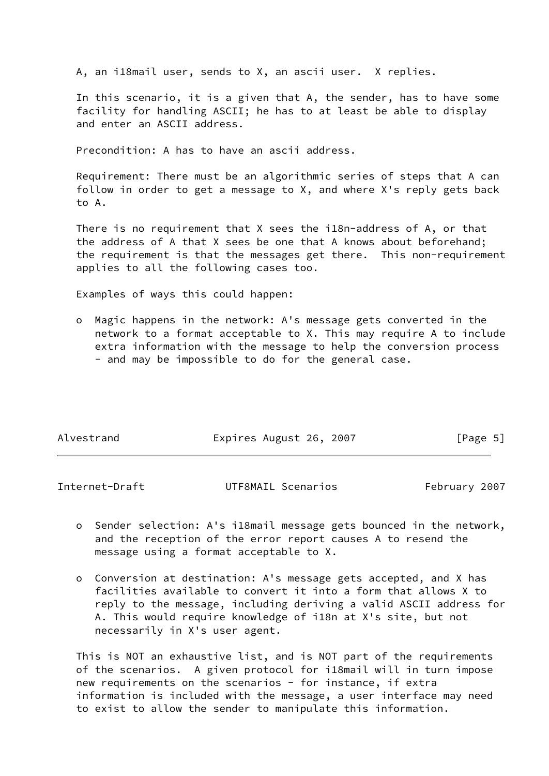A, an i18mail user, sends to X, an ascii user. X replies.

 In this scenario, it is a given that A, the sender, has to have some facility for handling ASCII; he has to at least be able to display and enter an ASCII address.

Precondition: A has to have an ascii address.

 Requirement: There must be an algorithmic series of steps that A can follow in order to get a message to X, and where X's reply gets back to A.

 There is no requirement that X sees the i18n-address of A, or that the address of A that X sees be one that A knows about beforehand; the requirement is that the messages get there. This non-requirement applies to all the following cases too.

Examples of ways this could happen:

 o Magic happens in the network: A's message gets converted in the network to a format acceptable to X. This may require A to include extra information with the message to help the conversion process - and may be impossible to do for the general case.

| Alvestrand | Expires August 26, 2007 | [Page 5] |
|------------|-------------------------|----------|

<span id="page-5-0"></span>

| Internet-Draft | UTF8MAIL Scenarios | February 2007 |
|----------------|--------------------|---------------|
|----------------|--------------------|---------------|

- o Sender selection: A's i18mail message gets bounced in the network, and the reception of the error report causes A to resend the message using a format acceptable to X.
- o Conversion at destination: A's message gets accepted, and X has facilities available to convert it into a form that allows X to reply to the message, including deriving a valid ASCII address for A. This would require knowledge of i18n at X's site, but not necessarily in X's user agent.

 This is NOT an exhaustive list, and is NOT part of the requirements of the scenarios. A given protocol for i18mail will in turn impose new requirements on the scenarios - for instance, if extra information is included with the message, a user interface may need to exist to allow the sender to manipulate this information.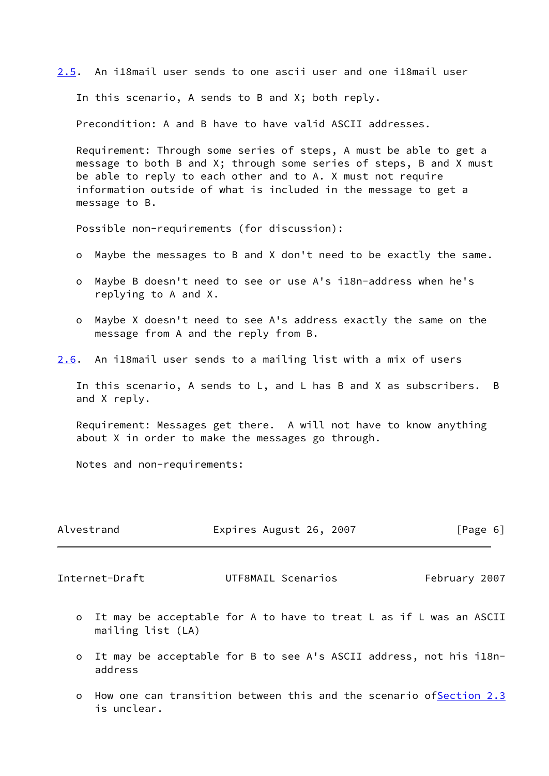<span id="page-6-1"></span>[2.5](#page-6-1). An i18mail user sends to one ascii user and one i18mail user

In this scenario, A sends to B and X; both reply.

Precondition: A and B have to have valid ASCII addresses.

 Requirement: Through some series of steps, A must be able to get a message to both B and X; through some series of steps, B and X must be able to reply to each other and to A. X must not require information outside of what is included in the message to get a message to B.

Possible non-requirements (for discussion):

- o Maybe the messages to B and X don't need to be exactly the same.
- o Maybe B doesn't need to see or use A's i18n-address when he's replying to A and X.
- o Maybe X doesn't need to see A's address exactly the same on the message from A and the reply from B.
- <span id="page-6-2"></span>[2.6](#page-6-2). An i18mail user sends to a mailing list with a mix of users

 In this scenario, A sends to L, and L has B and X as subscribers. B and X reply.

 Requirement: Messages get there. A will not have to know anything about X in order to make the messages go through.

Notes and non-requirements:

| Alvestrand | Expires August 26, 2007 | [Page 6] |
|------------|-------------------------|----------|
|            |                         |          |

<span id="page-6-0"></span>Internet-Draft UTF8MAIL Scenarios February 2007

- o It may be acceptable for A to have to treat L as if L was an ASCII mailing list (LA)
- o It may be acceptable for B to see A's ASCII address, not his i18n address
- o How one can transition between this and the scenario o[fSection 2.3](#page-4-4) is unclear.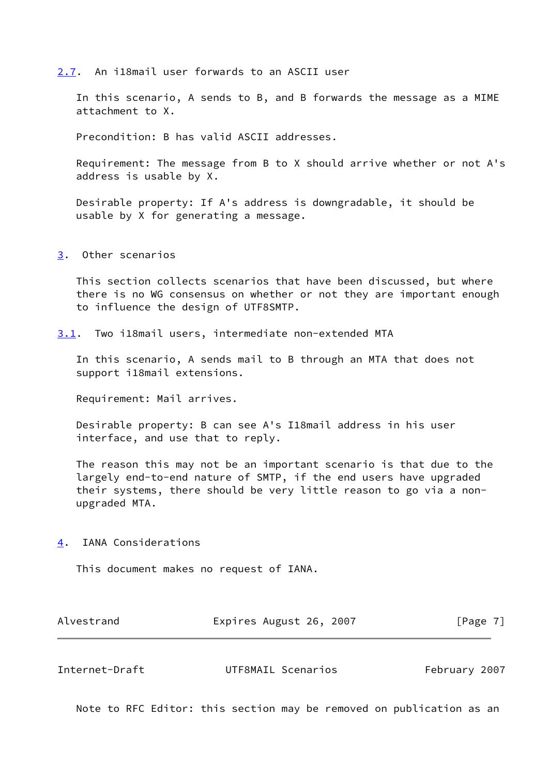#### <span id="page-7-0"></span>[2.7](#page-7-0). An i18mail user forwards to an ASCII user

 In this scenario, A sends to B, and B forwards the message as a MIME attachment to X.

Precondition: B has valid ASCII addresses.

 Requirement: The message from B to X should arrive whether or not A's address is usable by X.

 Desirable property: If A's address is downgradable, it should be usable by X for generating a message.

### <span id="page-7-1"></span>[3](#page-7-1). Other scenarios

 This section collects scenarios that have been discussed, but where there is no WG consensus on whether or not they are important enough to influence the design of UTF8SMTP.

<span id="page-7-2"></span>[3.1](#page-7-2). Two i18mail users, intermediate non-extended MTA

 In this scenario, A sends mail to B through an MTA that does not support i18mail extensions.

Requirement: Mail arrives.

 Desirable property: B can see A's I18mail address in his user interface, and use that to reply.

 The reason this may not be an important scenario is that due to the largely end-to-end nature of SMTP, if the end users have upgraded their systems, there should be very little reason to go via a non upgraded MTA.

## <span id="page-7-3"></span>[4](#page-7-3). IANA Considerations

This document makes no request of IANA.

| Alvestrand | Expires August 26, 2007 | [Page 7] |
|------------|-------------------------|----------|
|------------|-------------------------|----------|

<span id="page-7-4"></span>

| Internet-Draft<br>UTF8MAIL Scenarios | February 2007 |  |
|--------------------------------------|---------------|--|
|--------------------------------------|---------------|--|

Note to RFC Editor: this section may be removed on publication as an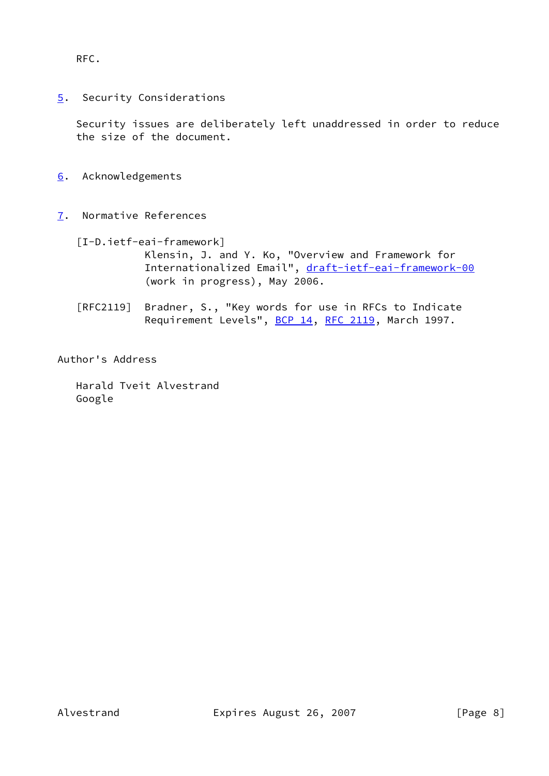RFC.

<span id="page-8-0"></span>[5](#page-8-0). Security Considerations

 Security issues are deliberately left unaddressed in order to reduce the size of the document.

- <span id="page-8-1"></span>[6](#page-8-1). Acknowledgements
- <span id="page-8-3"></span><span id="page-8-2"></span>[7](#page-8-2). Normative References
	- [I-D.ietf-eai-framework]

 Klensin, J. and Y. Ko, "Overview and Framework for Internationalized Email", [draft-ietf-eai-framework-00](https://datatracker.ietf.org/doc/pdf/draft-ietf-eai-framework-00) (work in progress), May 2006.

 [RFC2119] Bradner, S., "Key words for use in RFCs to Indicate Requirement Levels", [BCP 14](https://datatracker.ietf.org/doc/pdf/bcp14), [RFC 2119](https://datatracker.ietf.org/doc/pdf/rfc2119), March 1997.

Author's Address

 Harald Tveit Alvestrand Google